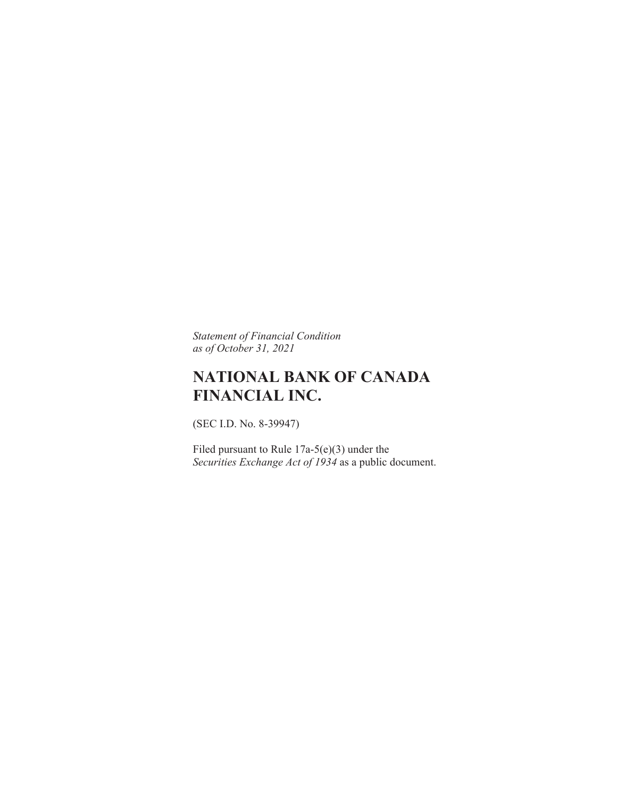*Statement of Financial Condition as of October 31, 2021* 

# **NATIONAL BANK OF CANADA FINANCIAL INC.**

(SEC I.D. No. 8-39947)

Filed pursuant to Rule 17a-5(e)(3) under the *Securities Exchange Act of 1934* as a public document.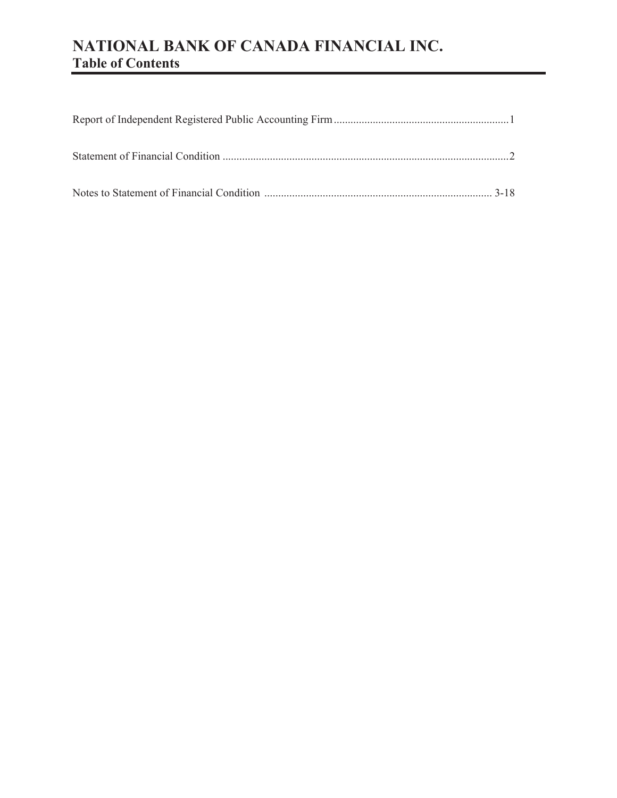# **NATIONAL BANK OF CANADA FINANCIAL INC. Table of Contents**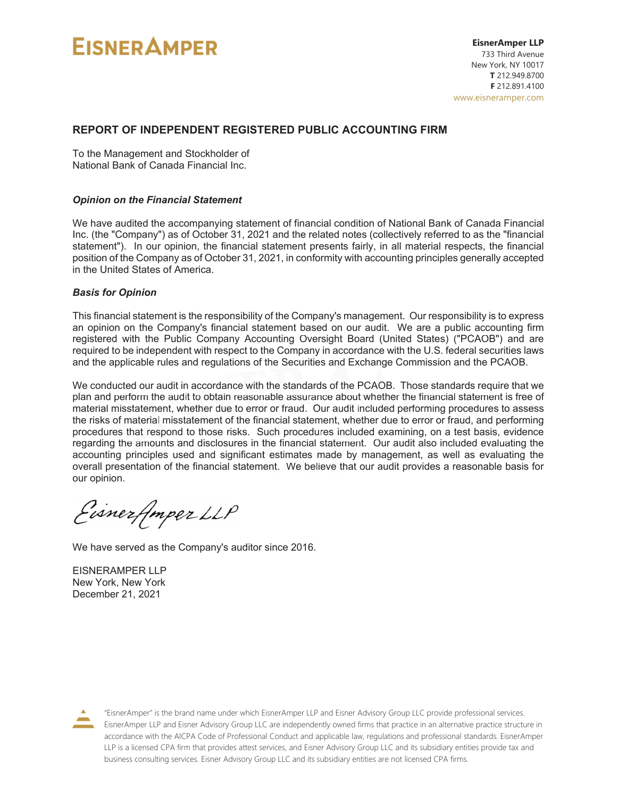# **EISNER AMPER**

#### **REPORT OF INDEPENDENT REGISTERED PUBLIC ACCOUNTING FIRM**

To the Management and Stockholder of National Bank of Canada Financial Inc.

#### *Opinion on the Financial Statement*

We have audited the accompanying statement of financial condition of National Bank of Canada Financial Inc. (the "Company") as of October 31, 2021 and the related notes (collectively referred to as the "financial statement"). In our opinion, the financial statement presents fairly, in all material respects, the financial position of the Company as of October 31, 2021, in conformity with accounting principles generally accepted in the United States of America.

#### *Basis for Opinion*

This financial statement is the responsibility of the Company's management. Our responsibility is to express an opinion on the Company's financial statement based on our audit. We are a public accounting firm registered with the Public Company Accounting Oversight Board (United States) ("PCAOB") and are required to be independent with respect to the Company in accordance with the U.S. federal securities laws and the applicable rules and regulations of the Securities and Exchange Commission and the PCAOB.

We conducted our audit in accordance with the standards of the PCAOB. Those standards require that we plan and perform the audit to obtain reasonable assurance about whether the financial statement is free of material misstatement, whether due to error or fraud. Our audit included performing procedures to assess the risks of material misstatement of the financial statement, whether due to error or fraud, and performing procedures that respond to those risks. Such procedures included examining, on a test basis, evidence regarding the amounts and disclosures in the financial statement. Our audit also included evaluating the accounting principles used and significant estimates made by management, as well as evaluating the overall presentation of the financial statement. We believe that our audit provides a reasonable basis for our opinion.

Eisnerflmper LLP

We have served as the Company's auditor since 2016.

EISNERAMPER LLP New York, New York December 21, 2021



"EisnerAmper" is the brand name under which EisnerAmper LLP and Eisner Advisory Group LLC provide professional services. EisnerAmper LLP and Eisner Advisory Group LLC are independently owned firms that practice in an alternative practice structure in accordance with the AICPA Code of Professional Conduct and applicable law, regulations and professional standards. EisnerAmper LLP is a licensed CPA firm that provides attest services, and Eisner Advisory Group LLC and its subsidiary entities provide tax and business consulting services. Eisner Advisory Group LLC and its subsidiary entities are not licensed CPA firms.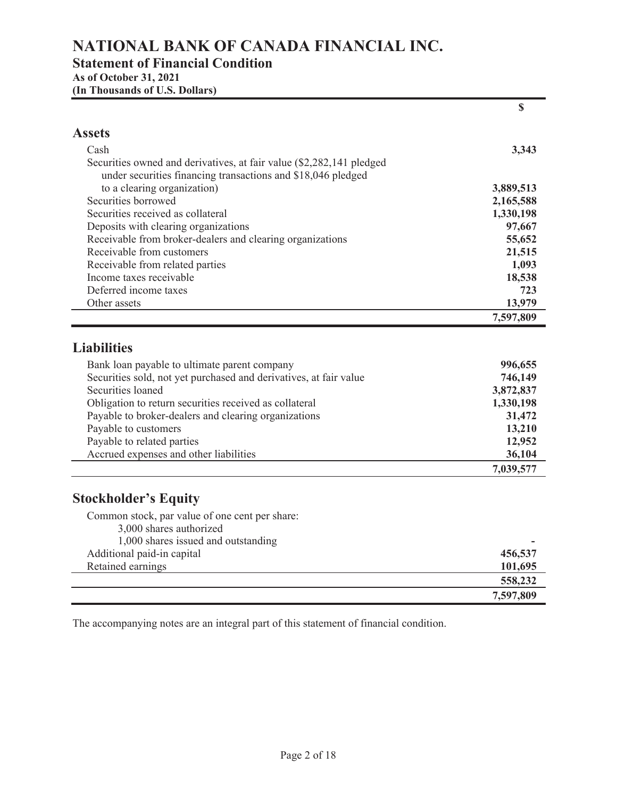## **NATIONAL BANK OF CANADA FINANCIAL INC.**

### **Statement of Financial Condition**

**As of October 31, 2021** 

**(In Thousands of U.S. Dollars)** 

|                                                                      | \$        |
|----------------------------------------------------------------------|-----------|
| <b>Assets</b>                                                        |           |
| Cash                                                                 | 3,343     |
| Securities owned and derivatives, at fair value (\$2,282,141 pledged |           |
| under securities financing transactions and \$18,046 pledged         |           |
| to a clearing organization)                                          | 3,889,513 |
| Securities borrowed                                                  | 2,165,588 |
| Securities received as collateral                                    | 1,330,198 |
| Deposits with clearing organizations                                 | 97,667    |
| Receivable from broker-dealers and clearing organizations            | 55,652    |
| Receivable from customers                                            | 21,515    |
| Receivable from related parties                                      | 1,093     |
| Income taxes receivable                                              | 18,538    |
| Deferred income taxes                                                | 723       |
| Other assets                                                         | 13,979    |
|                                                                      | 7,597,809 |
| <b>Liabilities</b><br>Bank loan payable to ultimate parent company   | 996,655   |
| Securities sold, not yet purchased and derivatives, at fair value    | 746,149   |
| Securities loaned                                                    | 3,872,837 |
| Obligation to return securities received as collateral               | 1,330,198 |
| Payable to broker-dealers and clearing organizations                 | 31,472    |
| Payable to customers                                                 | 13,210    |
| Payable to related parties                                           | 12,952    |
| Accrued expenses and other liabilities                               | 36,104    |
|                                                                      | 7,039,577 |
|                                                                      |           |
| <b>Stockholder's Equity</b>                                          |           |
| Common stock, par value of one cent per share:                       |           |
| 3,000 shares authorized                                              |           |
| 1,000 shares issued and outstanding                                  |           |
| Additional paid-in capital                                           | 456,537   |
| Retained earnings                                                    | 101,695   |
|                                                                      | 558,232   |
|                                                                      | 7,597,809 |

The accompanying notes are an integral part of this statement of financial condition.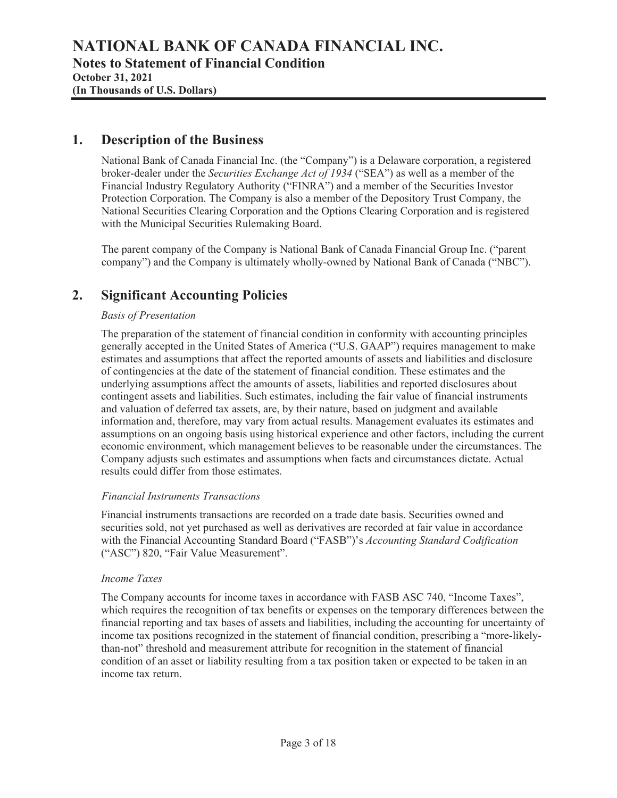### **1. Description of the Business**

National Bank of Canada Financial Inc. (the "Company") is a Delaware corporation, a registered broker-dealer under the *Securities Exchange Act of 1934* ("SEA") as well as a member of the Financial Industry Regulatory Authority ("FINRA") and a member of the Securities Investor Protection Corporation. The Company is also a member of the Depository Trust Company, the National Securities Clearing Corporation and the Options Clearing Corporation and is registered with the Municipal Securities Rulemaking Board.

The parent company of the Company is National Bank of Canada Financial Group Inc. ("parent company") and the Company is ultimately wholly-owned by National Bank of Canada ("NBC").

### **2. Significant Accounting Policies**

#### *Basis of Presentation*

The preparation of the statement of financial condition in conformity with accounting principles generally accepted in the United States of America ("U.S. GAAP") requires management to make estimates and assumptions that affect the reported amounts of assets and liabilities and disclosure of contingencies at the date of the statement of financial condition. These estimates and the underlying assumptions affect the amounts of assets, liabilities and reported disclosures about contingent assets and liabilities. Such estimates, including the fair value of financial instruments and valuation of deferred tax assets, are, by their nature, based on judgment and available information and, therefore, may vary from actual results. Management evaluates its estimates and assumptions on an ongoing basis using historical experience and other factors, including the current economic environment, which management believes to be reasonable under the circumstances. The Company adjusts such estimates and assumptions when facts and circumstances dictate. Actual results could differ from those estimates.

#### *Financial Instruments Transactions*

Financial instruments transactions are recorded on a trade date basis. Securities owned and securities sold, not yet purchased as well as derivatives are recorded at fair value in accordance with the Financial Accounting Standard Board ("FASB")'s *Accounting Standard Codification* ("ASC") 820, "Fair Value Measurement".

#### *Income Taxes*

The Company accounts for income taxes in accordance with FASB ASC 740, "Income Taxes", which requires the recognition of tax benefits or expenses on the temporary differences between the financial reporting and tax bases of assets and liabilities, including the accounting for uncertainty of income tax positions recognized in the statement of financial condition, prescribing a "more-likelythan-not" threshold and measurement attribute for recognition in the statement of financial condition of an asset or liability resulting from a tax position taken or expected to be taken in an income tax return.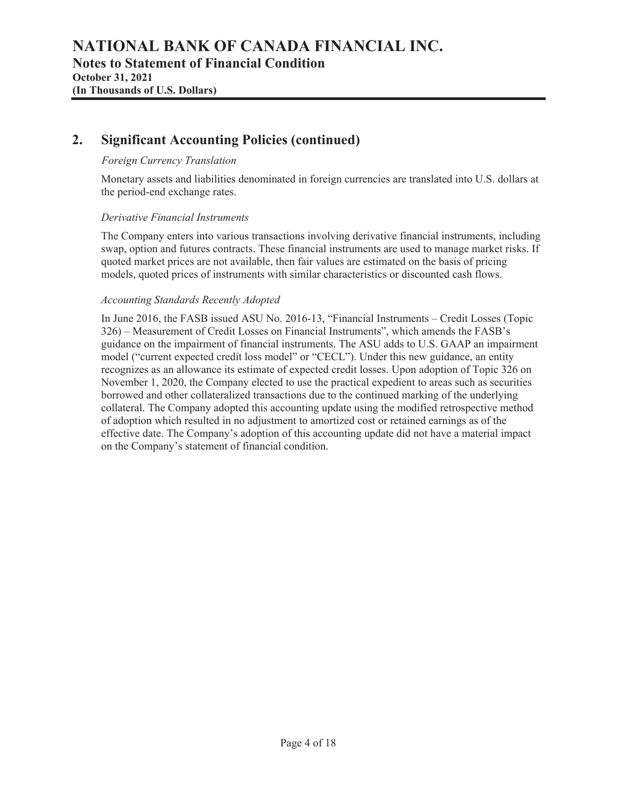### **2. Significant Accounting Policies (continued)**

#### *Foreign Currency Translation*

Monetary assets and liabilities denominated in foreign currencies are translated into U.S. dollars at the period-end exchange rates.

#### *Derivative Financial Instruments*

The Company enters into various transactions involving derivative financial instruments, including swap, option and futures contracts. These financial instruments are used to manage market risks. If quoted market prices are not available, then fair values are estimated on the basis of pricing models, quoted prices of instruments with similar characteristics or discounted cash flows.

#### *Accounting Standards Recently Adopted*

In June 2016, the FASB issued ASU No. 2016-13, "Financial Instruments – Credit Losses (Topic 326) – Measurement of Credit Losses on Financial Instruments", which amends the FASB's guidance on the impairment of financial instruments. The ASU adds to U.S. GAAP an impairment model ("current expected credit loss model" or "CECL"). Under this new guidance, an entity recognizes as an allowance its estimate of expected credit losses. Upon adoption of Topic 326 on November 1, 2020, the Company elected to use the practical expedient to areas such as securities borrowed and other collateralized transactions due to the continued marking of the underlying collateral. The Company adopted this accounting update using the modified retrospective method of adoption which resulted in no adjustment to amortized cost or retained earnings as of the effective date. The Company's adoption of this accounting update did not have a material impact on the Company's statement of financial condition.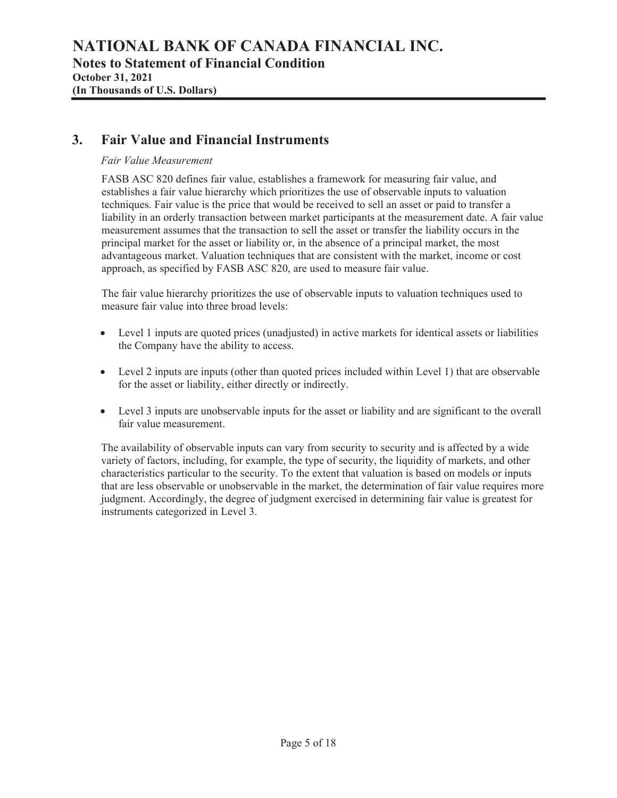### **3. Fair Value and Financial Instruments**

#### *Fair Value Measurement*

FASB ASC 820 defines fair value, establishes a framework for measuring fair value, and establishes a fair value hierarchy which prioritizes the use of observable inputs to valuation techniques. Fair value is the price that would be received to sell an asset or paid to transfer a liability in an orderly transaction between market participants at the measurement date. A fair value measurement assumes that the transaction to sell the asset or transfer the liability occurs in the principal market for the asset or liability or, in the absence of a principal market, the most advantageous market. Valuation techniques that are consistent with the market, income or cost approach, as specified by FASB ASC 820, are used to measure fair value.

The fair value hierarchy prioritizes the use of observable inputs to valuation techniques used to measure fair value into three broad levels:

- Level 1 inputs are quoted prices (unadjusted) in active markets for identical assets or liabilities the Company have the ability to access.
- $\bullet$  Level 2 inputs are inputs (other than quoted prices included within Level 1) that are observable for the asset or liability, either directly or indirectly.
- Level 3 inputs are unobservable inputs for the asset or liability and are significant to the overall fair value measurement.

The availability of observable inputs can vary from security to security and is affected by a wide variety of factors, including, for example, the type of security, the liquidity of markets, and other characteristics particular to the security. To the extent that valuation is based on models or inputs that are less observable or unobservable in the market, the determination of fair value requires more judgment. Accordingly, the degree of judgment exercised in determining fair value is greatest for instruments categorized in Level 3.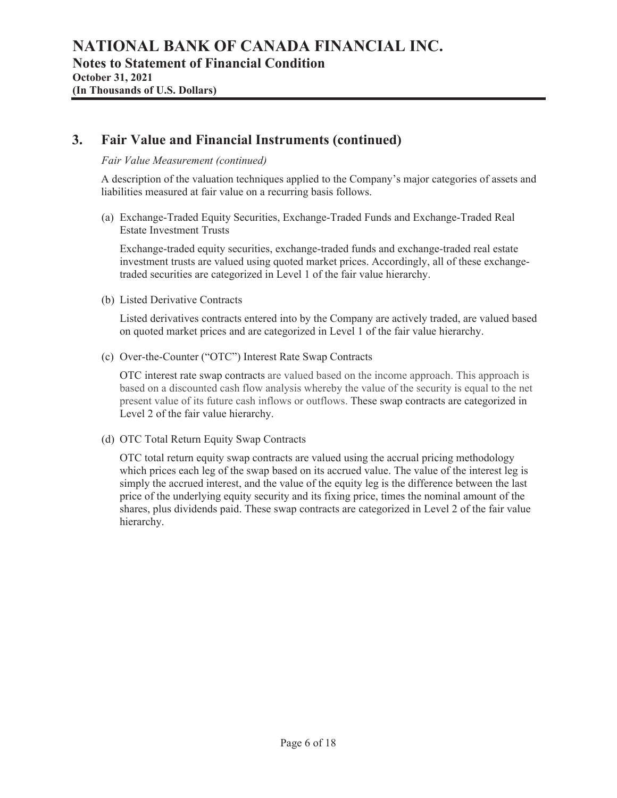### **3. Fair Value and Financial Instruments (continued)**

#### *Fair Value Measurement (continued)*

A description of the valuation techniques applied to the Company's major categories of assets and liabilities measured at fair value on a recurring basis follows.

(a) Exchange-Traded Equity Securities, Exchange-Traded Funds and Exchange-Traded Real Estate Investment Trusts

Exchange-traded equity securities, exchange-traded funds and exchange-traded real estate investment trusts are valued using quoted market prices. Accordingly, all of these exchangetraded securities are categorized in Level 1 of the fair value hierarchy.

(b) Listed Derivative Contracts

Listed derivatives contracts entered into by the Company are actively traded, are valued based on quoted market prices and are categorized in Level 1 of the fair value hierarchy.

(c) Over-the-Counter ("OTC") Interest Rate Swap Contracts

OTC interest rate swap contracts are valued based on the income approach. This approach is based on a discounted cash flow analysis whereby the value of the security is equal to the net present value of its future cash inflows or outflows. These swap contracts are categorized in Level 2 of the fair value hierarchy.

(d) OTC Total Return Equity Swap Contracts

OTC total return equity swap contracts are valued using the accrual pricing methodology which prices each leg of the swap based on its accrued value. The value of the interest leg is simply the accrued interest, and the value of the equity leg is the difference between the last price of the underlying equity security and its fixing price, times the nominal amount of the shares, plus dividends paid. These swap contracts are categorized in Level 2 of the fair value hierarchy.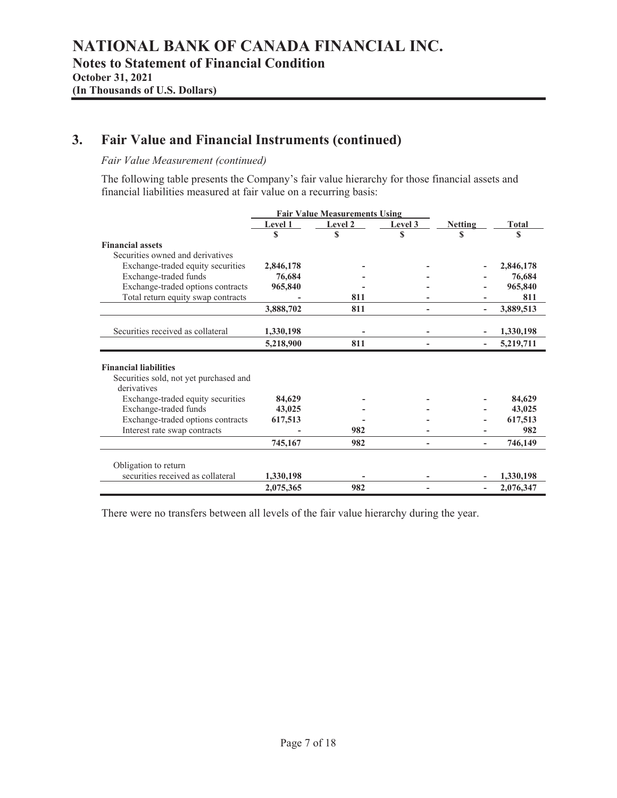### **3. Fair Value and Financial Instruments (continued)**

#### *Fair Value Measurement (continued)*

The following table presents the Company's fair value hierarchy for those financial assets and financial liabilities measured at fair value on a recurring basis:

|                                                                                                                                                          |                             | <b>Fair Value Measurements Using</b> |         |                |                             |
|----------------------------------------------------------------------------------------------------------------------------------------------------------|-----------------------------|--------------------------------------|---------|----------------|-----------------------------|
|                                                                                                                                                          | Level 1                     | Level 2                              | Level 3 | <b>Netting</b> | <b>Total</b>                |
|                                                                                                                                                          |                             | \$                                   | \$      |                | S                           |
| <b>Financial assets</b>                                                                                                                                  |                             |                                      |         |                |                             |
| Securities owned and derivatives                                                                                                                         |                             |                                      |         |                |                             |
| Exchange-traded equity securities                                                                                                                        | 2,846,178                   |                                      |         |                | 2,846,178                   |
| Exchange-traded funds                                                                                                                                    | 76,684                      |                                      |         |                | 76,684                      |
| Exchange-traded options contracts                                                                                                                        | 965,840                     |                                      |         |                | 965,840                     |
| Total return equity swap contracts                                                                                                                       |                             | 811                                  |         |                | 811                         |
|                                                                                                                                                          | 3,888,702                   | 811                                  |         |                | 3,889,513                   |
| Securities received as collateral                                                                                                                        | 1,330,198                   |                                      |         |                | 1,330,198                   |
|                                                                                                                                                          | 5,218,900                   | 811                                  |         |                | 5,219,711                   |
| Securities sold, not yet purchased and<br>derivatives<br>Exchange-traded equity securities<br>Exchange-traded funds<br>Exchange-traded options contracts | 84,629<br>43,025<br>617,513 |                                      |         |                | 84,629<br>43,025            |
|                                                                                                                                                          |                             |                                      |         |                | 617,513                     |
| Interest rate swap contracts                                                                                                                             |                             | 982<br>982                           |         |                |                             |
| Obligation to return<br>securities received as collateral                                                                                                | 745,167<br>1,330,198        |                                      |         |                | 982<br>746,149<br>1,330,198 |

There were no transfers between all levels of the fair value hierarchy during the year.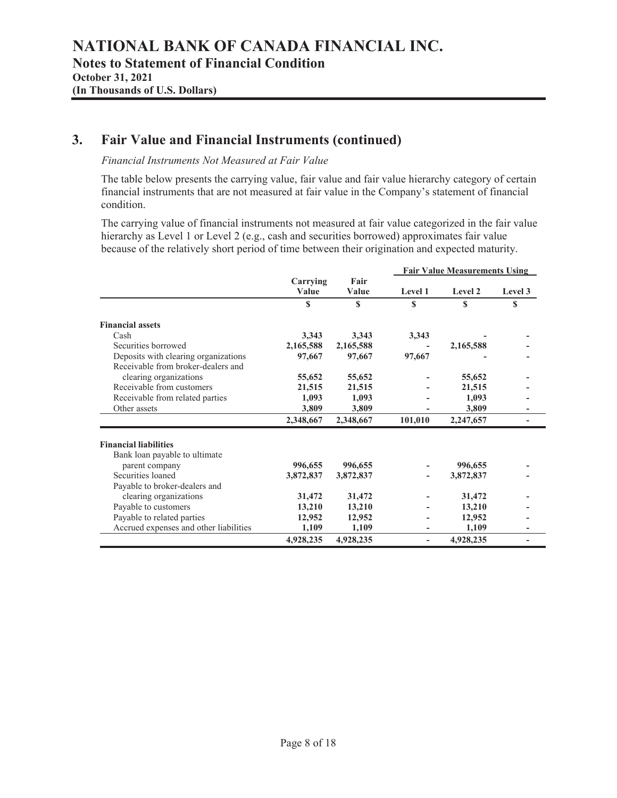### **3. Fair Value and Financial Instruments (continued)**

#### *Financial Instruments Not Measured at Fair Value*

The table below presents the carrying value, fair value and fair value hierarchy category of certain financial instruments that are not measured at fair value in the Company's statement of financial condition.

The carrying value of financial instruments not measured at fair value categorized in the fair value hierarchy as Level 1 or Level 2 (e.g., cash and securities borrowed) approximates fair value because of the relatively short period of time between their origination and expected maturity.

|                                        |           |           |          | <b>Fair Value Measurements Using</b> |         |
|----------------------------------------|-----------|-----------|----------|--------------------------------------|---------|
|                                        | Carrying  | Fair      |          |                                      |         |
|                                        | Value     | Value     | Level 1  | Level 2                              | Level 3 |
|                                        | S         | S         | <b>S</b> | S                                    | S       |
| <b>Financial assets</b>                |           |           |          |                                      |         |
| Cash                                   | 3,343     | 3,343     | 3,343    |                                      |         |
| Securities borrowed                    | 2,165,588 | 2,165,588 |          | 2,165,588                            |         |
| Deposits with clearing organizations   | 97,667    | 97,667    | 97,667   |                                      |         |
| Receivable from broker-dealers and     |           |           |          |                                      |         |
| clearing organizations                 | 55,652    | 55,652    |          | 55,652                               |         |
| Receivable from customers              | 21,515    | 21,515    |          | 21,515                               |         |
| Receivable from related parties        | 1,093     | 1,093     |          | 1,093                                |         |
| Other assets                           | 3,809     | 3,809     |          | 3,809                                |         |
|                                        | 2,348,667 | 2,348,667 | 101,010  | 2,247,657                            |         |
| <b>Financial liabilities</b>           |           |           |          |                                      |         |
| Bank loan payable to ultimate          |           |           |          |                                      |         |
| parent company                         | 996,655   | 996,655   |          | 996,655                              |         |
| Securities loaned                      | 3,872,837 | 3,872,837 |          | 3,872,837                            |         |
| Payable to broker-dealers and          |           |           |          |                                      |         |
| clearing organizations                 | 31,472    | 31,472    |          | 31,472                               |         |
| Payable to customers                   | 13,210    | 13,210    |          | 13,210                               |         |
| Payable to related parties             | 12,952    | 12,952    |          | 12,952                               |         |
| Accrued expenses and other liabilities | 1,109     | 1,109     |          | 1,109                                |         |
|                                        | 4,928,235 | 4,928,235 |          | 4,928,235                            |         |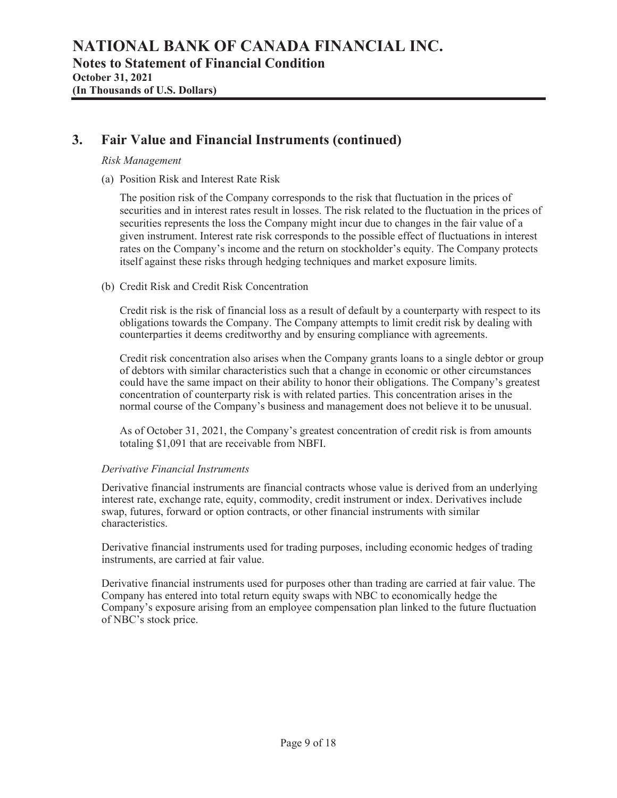### **3. Fair Value and Financial Instruments (continued)**

#### *Risk Management*

(a) Position Risk and Interest Rate Risk

The position risk of the Company corresponds to the risk that fluctuation in the prices of securities and in interest rates result in losses. The risk related to the fluctuation in the prices of securities represents the loss the Company might incur due to changes in the fair value of a given instrument. Interest rate risk corresponds to the possible effect of fluctuations in interest rates on the Company's income and the return on stockholder's equity. The Company protects itself against these risks through hedging techniques and market exposure limits.

(b) Credit Risk and Credit Risk Concentration

Credit risk is the risk of financial loss as a result of default by a counterparty with respect to its obligations towards the Company. The Company attempts to limit credit risk by dealing with counterparties it deems creditworthy and by ensuring compliance with agreements.

Credit risk concentration also arises when the Company grants loans to a single debtor or group of debtors with similar characteristics such that a change in economic or other circumstances could have the same impact on their ability to honor their obligations. The Company's greatest concentration of counterparty risk is with related parties. This concentration arises in the normal course of the Company's business and management does not believe it to be unusual.

As of October 31, 2021, the Company's greatest concentration of credit risk is from amounts totaling \$1,091 that are receivable from NBFI.

#### *Derivative Financial Instruments*

Derivative financial instruments are financial contracts whose value is derived from an underlying interest rate, exchange rate, equity, commodity, credit instrument or index. Derivatives include swap, futures, forward or option contracts, or other financial instruments with similar characteristics.

Derivative financial instruments used for trading purposes, including economic hedges of trading instruments, are carried at fair value.

Derivative financial instruments used for purposes other than trading are carried at fair value. The Company has entered into total return equity swaps with NBC to economically hedge the Company's exposure arising from an employee compensation plan linked to the future fluctuation of NBC's stock price.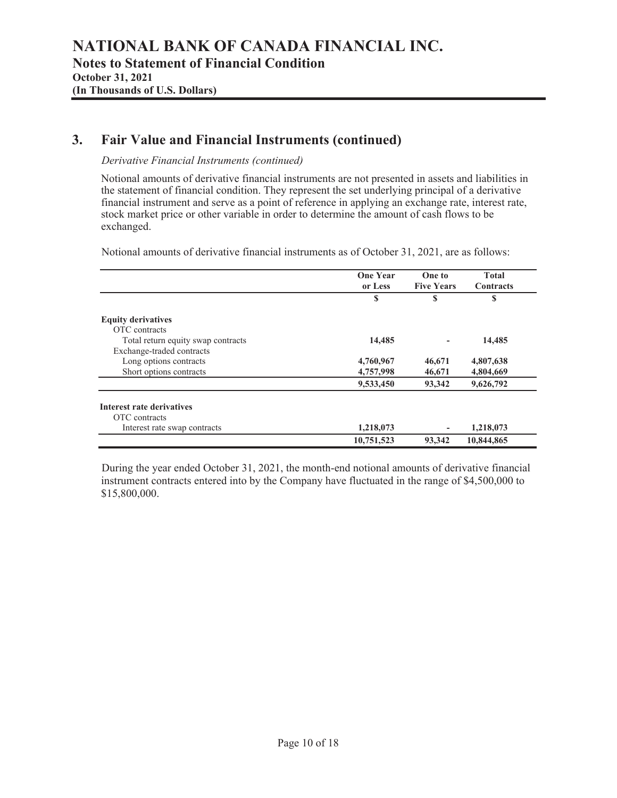### **3. Fair Value and Financial Instruments (continued)**

#### *Derivative Financial Instruments (continued)*

Notional amounts of derivative financial instruments are not presented in assets and liabilities in the statement of financial condition. They represent the set underlying principal of a derivative financial instrument and serve as a point of reference in applying an exchange rate, interest rate, stock market price or other variable in order to determine the amount of cash flows to be exchanged.

Notional amounts of derivative financial instruments as of October 31, 2021, are as follows:

|                                    | <b>One Year</b><br>or Less | One to<br><b>Five Years</b> | <b>Total</b><br><b>Contracts</b> |
|------------------------------------|----------------------------|-----------------------------|----------------------------------|
|                                    | S                          | S                           | S                                |
| <b>Equity derivatives</b>          |                            |                             |                                  |
| OTC contracts                      |                            |                             |                                  |
| Total return equity swap contracts | 14,485                     |                             | 14,485                           |
| Exchange-traded contracts          |                            |                             |                                  |
| Long options contracts             | 4,760,967                  | 46,671                      | 4,807,638                        |
| Short options contracts            | 4,757,998                  | 46,671                      | 4,804,669                        |
|                                    | 9,533,450                  | 93,342                      | 9,626,792                        |
| Interest rate derivatives          |                            |                             |                                  |
| OTC contracts                      |                            |                             |                                  |
| Interest rate swap contracts       | 1,218,073                  |                             | 1,218,073                        |
|                                    | 10,751,523                 | 93,342                      | 10,844,865                       |

During the year ended October 31, 2021, the month-end notional amounts of derivative financial instrument contracts entered into by the Company have fluctuated in the range of \$4,500,000 to \$15,800,000.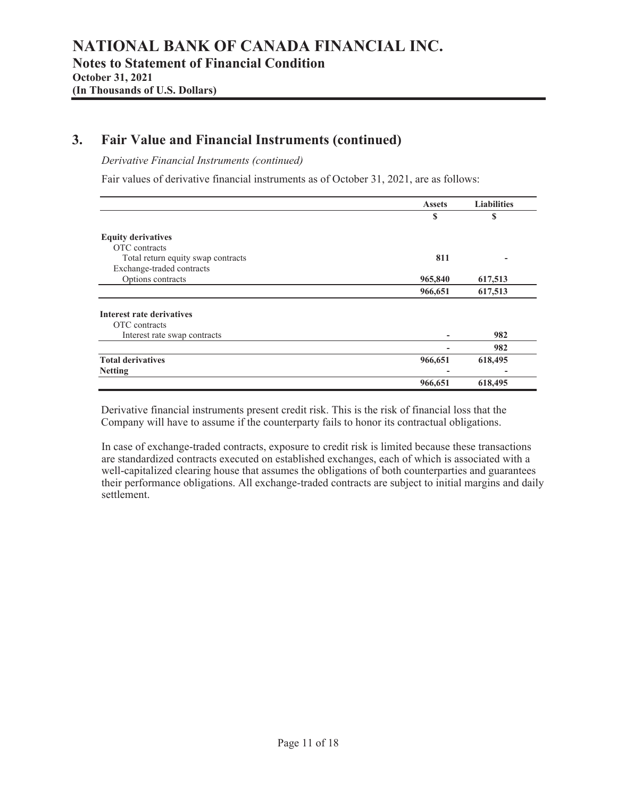### **3. Fair Value and Financial Instruments (continued)**

*Derivative Financial Instruments (continued)* 

Fair values of derivative financial instruments as of October 31, 2021, are as follows:

|                                    | <b>Assets</b> | <b>Liabilities</b> |
|------------------------------------|---------------|--------------------|
|                                    | S             | S                  |
| <b>Equity derivatives</b>          |               |                    |
| OTC contracts                      |               |                    |
| Total return equity swap contracts | 811           |                    |
| Exchange-traded contracts          |               |                    |
| Options contracts                  | 965,840       | 617,513            |
|                                    | 966,651       | 617,513            |
| Interest rate derivatives          |               |                    |
| OTC contracts                      |               |                    |
| Interest rate swap contracts       |               | 982                |
|                                    |               | 982                |
| <b>Total derivatives</b>           | 966,651       | 618,495            |
| <b>Netting</b>                     |               |                    |
|                                    | 966,651       | 618,495            |

Derivative financial instruments present credit risk. This is the risk of financial loss that the Company will have to assume if the counterparty fails to honor its contractual obligations.

In case of exchange-traded contracts, exposure to credit risk is limited because these transactions are standardized contracts executed on established exchanges, each of which is associated with a well-capitalized clearing house that assumes the obligations of both counterparties and guarantees their performance obligations. All exchange-traded contracts are subject to initial margins and daily settlement.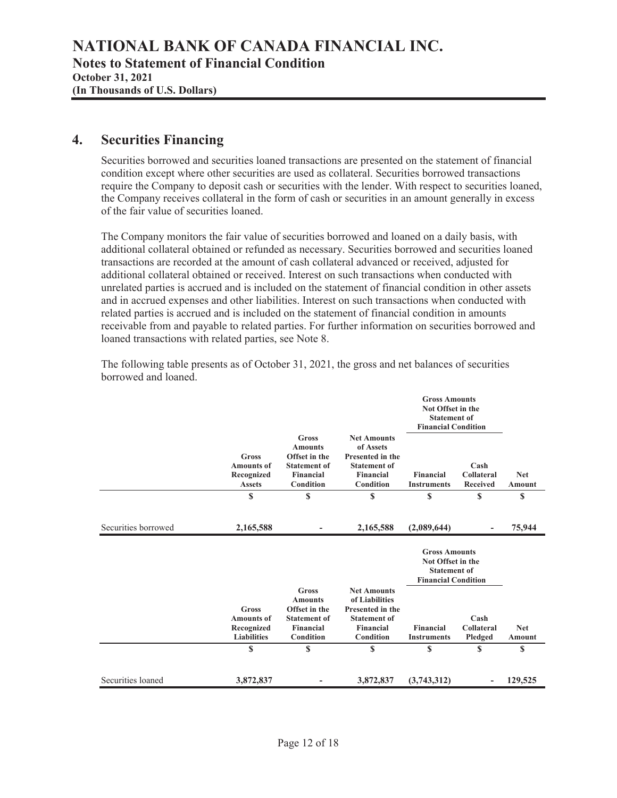### **4. Securities Financing**

Securities borrowed and securities loaned transactions are presented on the statement of financial condition except where other securities are used as collateral. Securities borrowed transactions require the Company to deposit cash or securities with the lender. With respect to securities loaned, the Company receives collateral in the form of cash or securities in an amount generally in excess of the fair value of securities loaned.

The Company monitors the fair value of securities borrowed and loaned on a daily basis, with additional collateral obtained or refunded as necessary. Securities borrowed and securities loaned transactions are recorded at the amount of cash collateral advanced or received, adjusted for additional collateral obtained or received. Interest on such transactions when conducted with unrelated parties is accrued and is included on the statement of financial condition in other assets and in accrued expenses and other liabilities. Interest on such transactions when conducted with related parties is accrued and is included on the statement of financial condition in amounts receivable from and payable to related parties. For further information on securities borrowed and loaned transactions with related parties, see Note 8.

|                     |                                                                |                                                                                                  |                                                                                                                    |                                                                                                | <b>Gross Amounts</b><br>Not Offset in the<br><b>Statement of</b><br><b>Financial Condition</b> |                      |  |
|---------------------|----------------------------------------------------------------|--------------------------------------------------------------------------------------------------|--------------------------------------------------------------------------------------------------------------------|------------------------------------------------------------------------------------------------|------------------------------------------------------------------------------------------------|----------------------|--|
|                     | Gross<br><b>Amounts of</b><br>Recognized<br><b>Assets</b>      | Gross<br><b>Amounts</b><br>Offset in the<br><b>Statement of</b><br><b>Financial</b><br>Condition | <b>Net Amounts</b><br>of Assets<br><b>Presented in the</b><br><b>Statement of</b><br><b>Financial</b><br>Condition | Financial<br><b>Instruments</b>                                                                | Cash<br>Collateral<br><b>Received</b>                                                          | <b>Net</b><br>Amount |  |
|                     | \$                                                             | \$                                                                                               | \$                                                                                                                 | \$                                                                                             | \$                                                                                             | \$                   |  |
| Securities borrowed | 2,165,588                                                      |                                                                                                  | 2,165,588                                                                                                          | (2,089,644)                                                                                    |                                                                                                | 75,944               |  |
|                     |                                                                |                                                                                                  |                                                                                                                    | <b>Gross Amounts</b><br>Not Offset in the<br><b>Statement of</b><br><b>Financial Condition</b> |                                                                                                |                      |  |
|                     | Gross<br><b>Amounts of</b><br>Recognized<br><b>Liabilities</b> | Gross<br><b>Amounts</b><br>Offset in the<br><b>Statement of</b><br><b>Financial</b><br>Condition | <b>Net Amounts</b><br>of Liabilities<br>Presented in the<br><b>Statement of</b><br><b>Financial</b><br>Condition   | Financial<br><b>Instruments</b>                                                                | Cash<br>Collateral<br>Pledged                                                                  | <b>Net</b><br>Amount |  |
|                     | S                                                              | \$                                                                                               | S                                                                                                                  | \$                                                                                             | \$                                                                                             | \$                   |  |
| Securities loaned   | 3,872,837                                                      |                                                                                                  | 3,872,837                                                                                                          | (3,743,312)                                                                                    |                                                                                                | 129,525              |  |

The following table presents as of October 31, 2021, the gross and net balances of securities borrowed and loaned.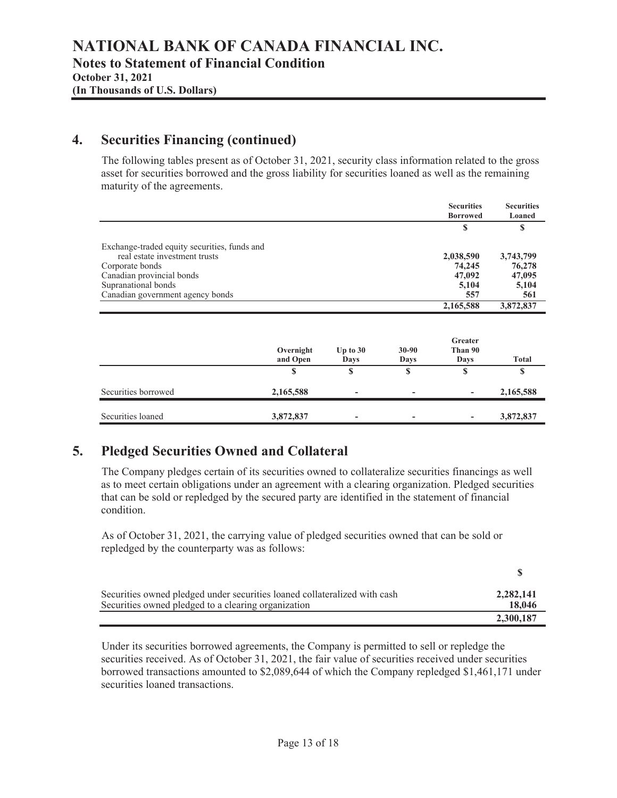### **4. Securities Financing (continued)**

The following tables present as of October 31, 2021, security class information related to the gross asset for securities borrowed and the gross liability for securities loaned as well as the remaining maturity of the agreements.

|                                                                               | <b>Securities</b><br><b>Borrowed</b> | <b>Securities</b><br>Loaned |
|-------------------------------------------------------------------------------|--------------------------------------|-----------------------------|
|                                                                               | S                                    | S                           |
| Exchange-traded equity securities, funds and<br>real estate investment trusts | 2,038,590                            | 3,743,799                   |
| Corporate bonds                                                               | 74,245                               | 76,278                      |
| Canadian provincial bonds                                                     | 47,092                               | 47,095                      |
| Supranational bonds                                                           | 5,104                                | 5,104                       |
| Canadian government agency bonds                                              | 557                                  | 561                         |
|                                                                               | 2,165,588                            | 3,872,837                   |

|                     | Overnight<br>and Open | Up to $30$<br>Days | $30 - 90$<br>Days        | Greater<br>Than 90<br>Days | <b>Total</b> |
|---------------------|-----------------------|--------------------|--------------------------|----------------------------|--------------|
|                     | S                     | S                  | S                        | S                          | S            |
| Securities borrowed | 2,165,588             | ۰                  | $\overline{\phantom{a}}$ | $\overline{\phantom{a}}$   | 2,165,588    |
| Securities loaned   | 3,872,837             | ۰                  | $\overline{\phantom{a}}$ | $\overline{\phantom{a}}$   | 3,872,837    |

### **5. Pledged Securities Owned and Collateral**

The Company pledges certain of its securities owned to collateralize securities financings as well as to meet certain obligations under an agreement with a clearing organization. Pledged securities that can be sold or repledged by the secured party are identified in the statement of financial condition.

As of October 31, 2021, the carrying value of pledged securities owned that can be sold or repledged by the counterparty was as follows:

| Securities owned pledged under securities loaned collateralized with cash | 2,282,141 |
|---------------------------------------------------------------------------|-----------|
| Securities owned pledged to a clearing organization                       | 18,046    |
|                                                                           | 2,300,187 |

Under its securities borrowed agreements, the Company is permitted to sell or repledge the securities received. As of October 31, 2021, the fair value of securities received under securities borrowed transactions amounted to \$2,089,644 of which the Company repledged \$1,461,171 under securities loaned transactions.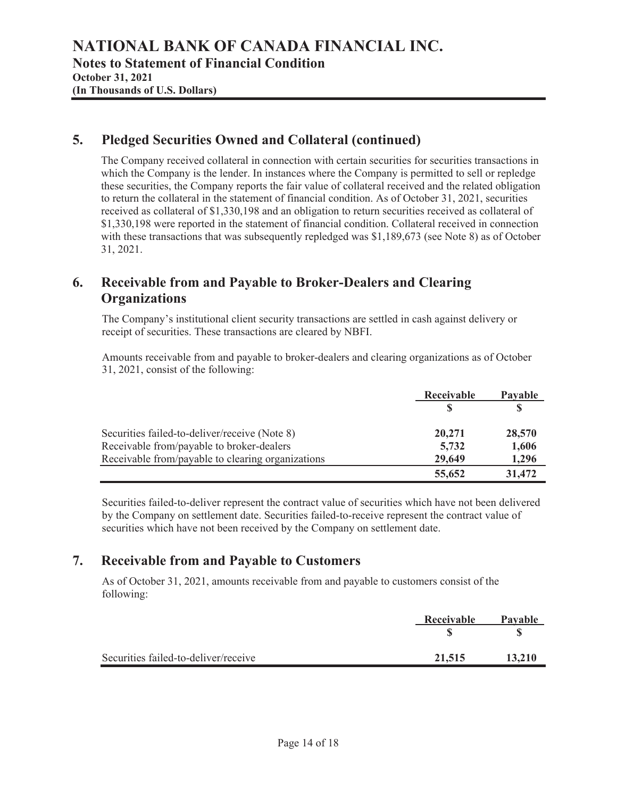### **5. Pledged Securities Owned and Collateral (continued)**

The Company received collateral in connection with certain securities for securities transactions in which the Company is the lender. In instances where the Company is permitted to sell or repledge these securities, the Company reports the fair value of collateral received and the related obligation to return the collateral in the statement of financial condition. As of October 31, 2021, securities received as collateral of \$1,330,198 and an obligation to return securities received as collateral of \$1,330,198 were reported in the statement of financial condition. Collateral received in connection with these transactions that was subsequently repledged was \$1,189,673 (see Note 8) as of October 31, 2021.

### **6. Receivable from and Payable to Broker-Dealers and Clearing Organizations**

The Company's institutional client security transactions are settled in cash against delivery or receipt of securities. These transactions are cleared by NBFI.

Amounts receivable from and payable to broker-dealers and clearing organizations as of October 31, 2021, consist of the following:

|                                                   | Receivable | Payable |  |
|---------------------------------------------------|------------|---------|--|
|                                                   |            |         |  |
| Securities failed-to-deliver/receive (Note 8)     | 20,271     | 28,570  |  |
| Receivable from/payable to broker-dealers         | 5,732      | 1,606   |  |
| Receivable from/payable to clearing organizations | 29,649     | 1,296   |  |
|                                                   | 55,652     | 31,472  |  |

Securities failed-to-deliver represent the contract value of securities which have not been delivered by the Company on settlement date. Securities failed-to-receive represent the contract value of securities which have not been received by the Company on settlement date.

### **7. Receivable from and Payable to Customers**

As of October 31, 2021, amounts receivable from and payable to customers consist of the following:

|                                      | Receivable | <b>Pavable</b> |
|--------------------------------------|------------|----------------|
|                                      |            |                |
| Securities failed-to-deliver/receive | 21,515     | 13,210         |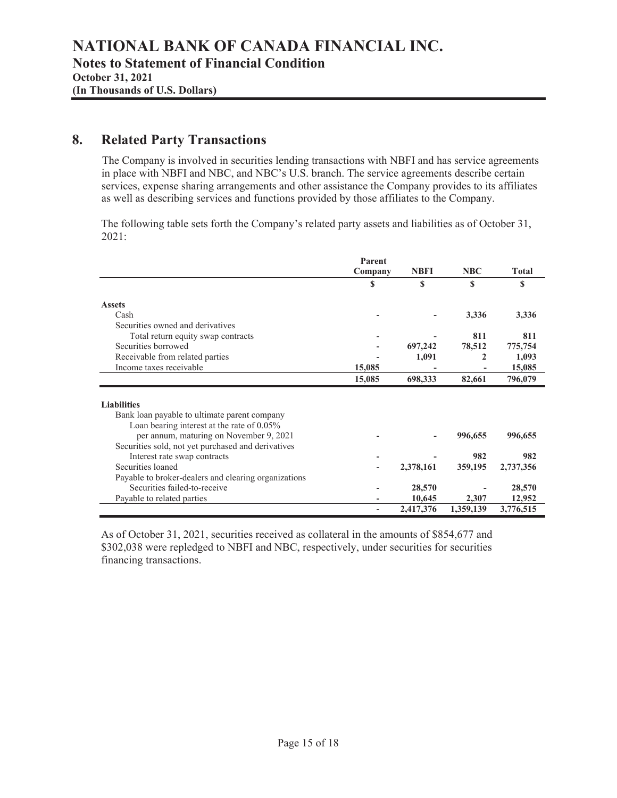### **8. Related Party Transactions**

The Company is involved in securities lending transactions with NBFI and has service agreements in place with NBFI and NBC, and NBC's U.S. branch. The service agreements describe certain services, expense sharing arrangements and other assistance the Company provides to its affiliates as well as describing services and functions provided by those affiliates to the Company.

The following table sets forth the Company's related party assets and liabilities as of October 31, 2021:

|                                                      | Parent<br>Company | <b>NBFI</b> | <b>NBC</b> | <b>Total</b> |
|------------------------------------------------------|-------------------|-------------|------------|--------------|
|                                                      | S                 | \$          | S          | S            |
| <b>Assets</b>                                        |                   |             |            |              |
| Cash                                                 |                   |             | 3,336      | 3,336        |
| Securities owned and derivatives                     |                   |             |            |              |
| Total return equity swap contracts                   |                   |             | 811        | 811          |
| Securities borrowed                                  |                   | 697,242     | 78,512     | 775,754      |
| Receivable from related parties                      |                   | 1,091       | 2          | 1,093        |
| Income taxes receivable                              | 15,085            |             |            | 15,085       |
|                                                      | 15,085            | 698,333     | 82,661     | 796,079      |
| <b>Liabilities</b>                                   |                   |             |            |              |
| Bank loan payable to ultimate parent company         |                   |             |            |              |
| Loan bearing interest at the rate of 0.05%           |                   |             |            |              |
| per annum, maturing on November 9, 2021              |                   |             | 996,655    | 996,655      |
| Securities sold, not yet purchased and derivatives   |                   |             |            |              |
| Interest rate swap contracts                         |                   |             | 982        | 982          |
| Securities loaned                                    |                   | 2,378,161   | 359,195    | 2,737,356    |
| Payable to broker-dealers and clearing organizations |                   |             |            |              |
| Securities failed-to-receive                         |                   | 28,570      |            | 28,570       |
| Payable to related parties                           |                   | 10,645      | 2,307      | 12,952       |
|                                                      |                   | 2,417,376   | 1,359,139  | 3,776,515    |

As of October 31, 2021, securities received as collateral in the amounts of \$854,677 and \$302,038 were repledged to NBFI and NBC, respectively, under securities for securities financing transactions.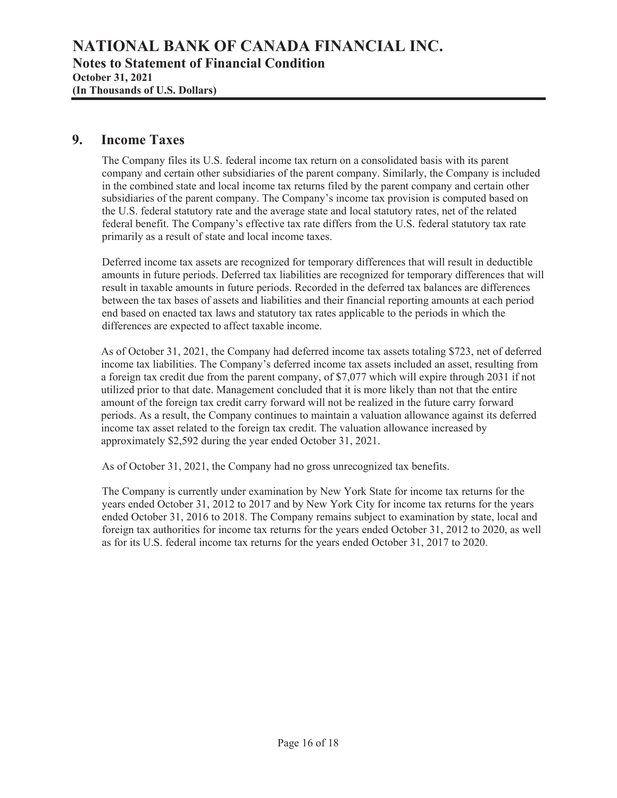### **9. Income Taxes**

The Company files its U.S. federal income tax return on a consolidated basis with its parent company and certain other subsidiaries of the parent company. Similarly, the Company is included in the combined state and local income tax returns filed by the parent company and certain other subsidiaries of the parent company. The Company's income tax provision is computed based on the U.S. federal statutory rate and the average state and local statutory rates, net of the related federal benefit. The Company's effective tax rate differs from the U.S. federal statutory tax rate primarily as a result of state and local income taxes.

Deferred income tax assets are recognized for temporary differences that will result in deductible amounts in future periods. Deferred tax liabilities are recognized for temporary differences that will result in taxable amounts in future periods. Recorded in the deferred tax balances are differences between the tax bases of assets and liabilities and their financial reporting amounts at each period end based on enacted tax laws and statutory tax rates applicable to the periods in which the differences are expected to affect taxable income.

As of October 31, 2021, the Company had deferred income tax assets totaling \$723, net of deferred income tax liabilities. The Company's deferred income tax assets included an asset, resulting from a foreign tax credit due from the parent company, of \$7,077 which will expire through 2031 if not utilized prior to that date. Management concluded that it is more likely than not that the entire amount of the foreign tax credit carry forward will not be realized in the future carry forward periods. As a result, the Company continues to maintain a valuation allowance against its deferred income tax asset related to the foreign tax credit. The valuation allowance increased by approximately \$2,592 during the year ended October 31, 2021.

As of October 31, 2021, the Company had no gross unrecognized tax benefits.

The Company is currently under examination by New York State for income tax returns for the years ended October 31, 2012 to 2017 and by New York City for income tax returns for the years ended October 31, 2016 to 2018. The Company remains subject to examination by state, local and foreign tax authorities for income tax returns for the years ended October 31, 2012 to 2020, as well as for its U.S. federal income tax returns for the years ended October 31, 2017 to 2020.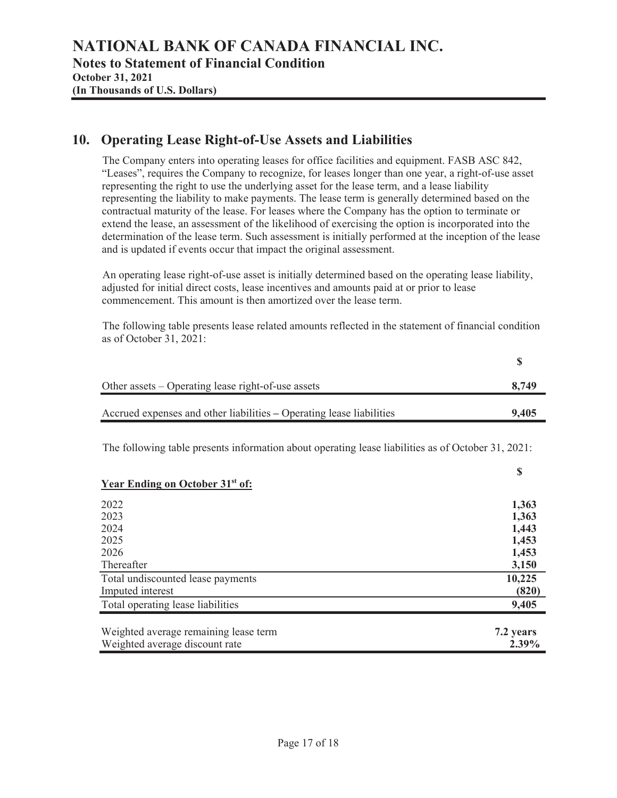### **10. Operating Lease Right-of-Use Assets and Liabilities**

The Company enters into operating leases for office facilities and equipment. FASB ASC 842, "Leases", requires the Company to recognize, for leases longer than one year, a right-of-use asset representing the right to use the underlying asset for the lease term, and a lease liability representing the liability to make payments. The lease term is generally determined based on the contractual maturity of the lease. For leases where the Company has the option to terminate or extend the lease, an assessment of the likelihood of exercising the option is incorporated into the determination of the lease term. Such assessment is initially performed at the inception of the lease and is updated if events occur that impact the original assessment.

An operating lease right-of-use asset is initially determined based on the operating lease liability, adjusted for initial direct costs, lease incentives and amounts paid at or prior to lease commencement. This amount is then amortized over the lease term.

The following table presents lease related amounts reflected in the statement of financial condition as of October 31, 2021:

|                                                                                                    | \$     |
|----------------------------------------------------------------------------------------------------|--------|
| Other assets – Operating lease right-of-use assets                                                 | 8,749  |
| Accrued expenses and other liabilities – Operating lease liabilities                               | 9,405  |
| The following table presents information about operating lease liabilities as of October 31, 2021: |        |
| <b>Year Ending on October 31st of:</b>                                                             | \$     |
| 2022                                                                                               | 1,363  |
| 2023                                                                                               | 1,363  |
| 2024                                                                                               | 1,443  |
| 2025                                                                                               | 1,453  |
| 2026                                                                                               | 1,453  |
| Thereafter                                                                                         | 3,150  |
| Total undiscounted lease payments                                                                  | 10,225 |
| Imputed interest                                                                                   | (820)  |
| Total operating lease liabilities                                                                  | 9,405  |

| Weighted average remaining lease term | 7.2 years |
|---------------------------------------|-----------|
| Weighted average discount rate        | $2.39\%$  |